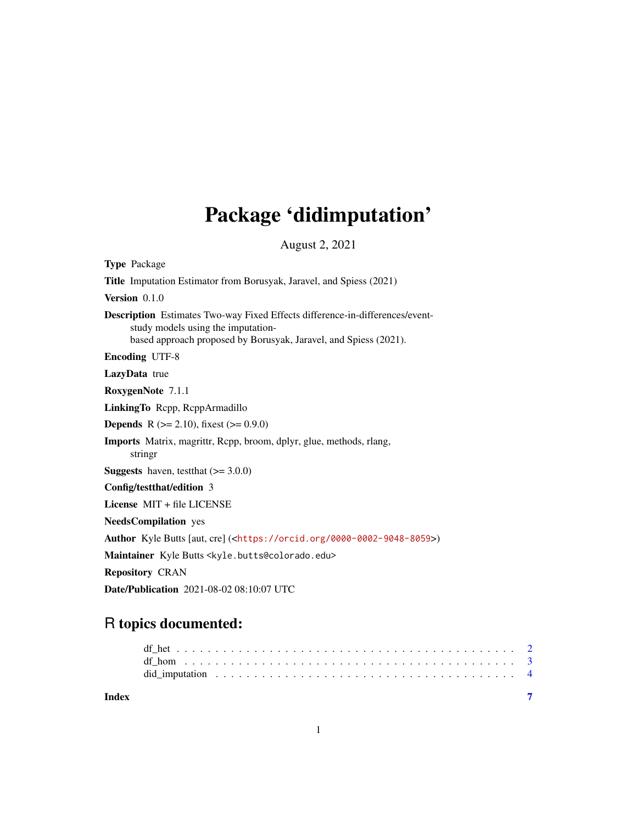# Package 'didimputation'

August 2, 2021

<span id="page-0-0"></span>

| <b>Type Package</b>                                                                                                                                                                           |
|-----------------------------------------------------------------------------------------------------------------------------------------------------------------------------------------------|
| <b>Title</b> Imputation Estimator from Borusyak, Jaravel, and Spiess (2021)                                                                                                                   |
| Version $0.1.0$                                                                                                                                                                               |
| <b>Description</b> Estimates Two-way Fixed Effects difference-in-differences/event-<br>study models using the imputation-<br>based approach proposed by Borusyak, Jaravel, and Spiess (2021). |
| <b>Encoding UTF-8</b>                                                                                                                                                                         |
| LazyData true                                                                                                                                                                                 |
| RoxygenNote 7.1.1                                                                                                                                                                             |
| LinkingTo Repp, ReppArmadillo                                                                                                                                                                 |
| <b>Depends</b> R $(>= 2.10)$ , fixest $(>= 0.9.0)$                                                                                                                                            |
| <b>Imports</b> Matrix, magrittr, Rcpp, broom, dplyr, glue, methods, rlang,<br>stringr                                                                                                         |
| <b>Suggests</b> haven, test that $(>= 3.0.0)$                                                                                                                                                 |
| Config/testthat/edition 3                                                                                                                                                                     |
| License $MIT + file LICENSE$                                                                                                                                                                  |
| <b>NeedsCompilation</b> yes                                                                                                                                                                   |
| Author Kyle Butts [aut, cre] ( <https: 0000-0002-9048-8059="" orcid.org="">)</https:>                                                                                                         |
| Maintainer Kyle Butts <kyle.butts@colorado.edu></kyle.butts@colorado.edu>                                                                                                                     |
| <b>Repository CRAN</b>                                                                                                                                                                        |
| <b>Date/Publication</b> 2021-08-02 08:10:07 UTC                                                                                                                                               |

# R topics documented:

| Index |                                                                                                             |  |  |  |  |  |  |  |  |  |  |  |  |  |  |  |  |  |
|-------|-------------------------------------------------------------------------------------------------------------|--|--|--|--|--|--|--|--|--|--|--|--|--|--|--|--|--|
|       | did imputation $\ldots \ldots \ldots \ldots \ldots \ldots \ldots \ldots \ldots \ldots \ldots \ldots \ldots$ |  |  |  |  |  |  |  |  |  |  |  |  |  |  |  |  |  |
|       |                                                                                                             |  |  |  |  |  |  |  |  |  |  |  |  |  |  |  |  |  |
|       |                                                                                                             |  |  |  |  |  |  |  |  |  |  |  |  |  |  |  |  |  |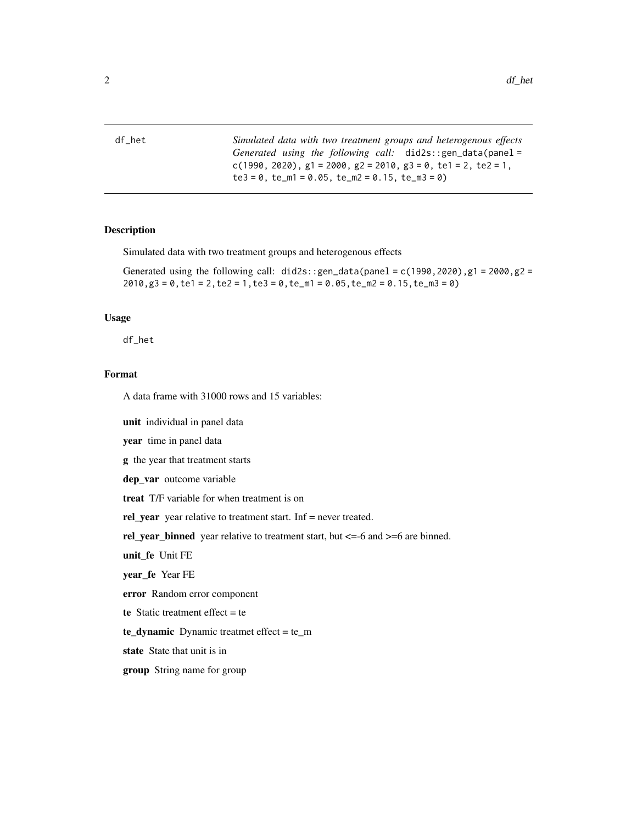<span id="page-1-0"></span>

| Simulated data with two treatment groups and heterogenous effects     |
|-----------------------------------------------------------------------|
| <i>Generated using the following call:</i> $did2s$ : gen_data(panel = |
| c(1990, 2020), g1 = 2000, g2 = 2010, g3 = 0, te1 = 2, te2 = 1,        |
| $te3 = 0$ , $te_{m1} = 0.05$ , $te_{m2} = 0.15$ , $te_{m3} = 0$ )     |
|                                                                       |

## Description

Simulated data with two treatment groups and heterogenous effects

Generated using the following call:  $\text{did2s::gen_data(panel = c(1990, 2020), g1 = 2000, g2 =}$  $2010, g3 = 0$ , te1 = 2, te2 = 1, te3 = 0, te\_m1 = 0.05, te\_m2 = 0.15, te\_m3 = 0)

#### Usage

df\_het

# Format

A data frame with 31000 rows and 15 variables:

unit individual in panel data

year time in panel data

g the year that treatment starts

dep\_var outcome variable

treat T/F variable for when treatment is on

rel\_year year relative to treatment start. Inf = never treated.

rel\_year\_binned year relative to treatment start, but <=-6 and >=6 are binned.

unit\_fe Unit FE

year\_fe Year FE

error Random error component

te Static treatment effect = te

te\_dynamic Dynamic treatmet effect = te\_m

state State that unit is in

group String name for group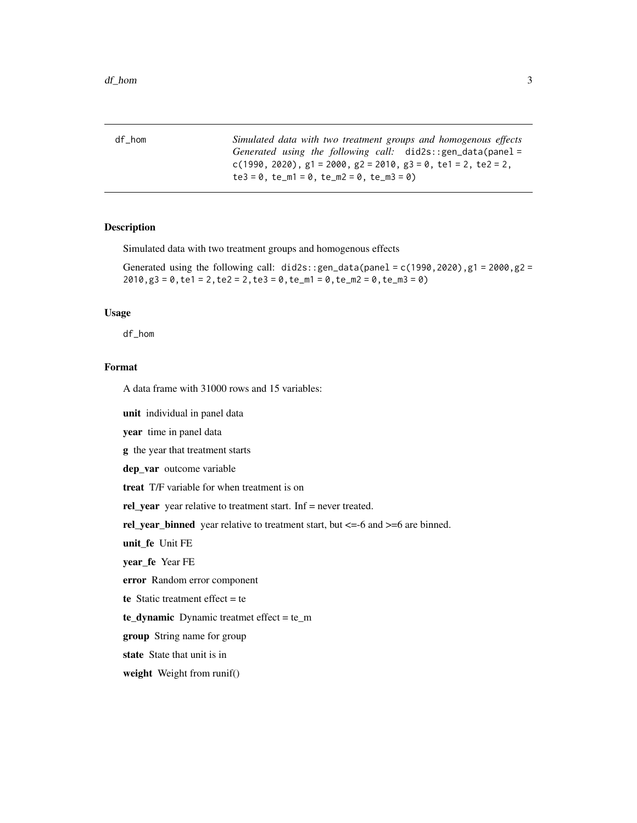<span id="page-2-0"></span>

| df hom | Simulated data with two treatment groups and homogenous effects       |
|--------|-----------------------------------------------------------------------|
|        | <i>Generated using the following call:</i> $did2s$ : gen_data(panel = |
|        | c(1990, 2020), g1 = 2000, g2 = 2010, g3 = 0, te1 = 2, te2 = 2,        |
|        | $te3 = 0$ , $te_m1 = 0$ , $te_m2 = 0$ , $te_m3 = 0$ )                 |

#### Description

Simulated data with two treatment groups and homogenous effects

Generated using the following call: did2s::gen\_data(panel =  $c(1990,2020)$ ,g1 = 2000,g2 =  $2010, g3 = 0$ , te1 = 2, te2 = 2, te3 = 0, te\_m1 = 0, te\_m2 = 0, te\_m3 = 0)

## Usage

df\_hom

# Format

A data frame with 31000 rows and 15 variables:

unit individual in panel data

year time in panel data

g the year that treatment starts

dep\_var outcome variable

treat T/F variable for when treatment is on

rel\_year year relative to treatment start. Inf = never treated.

rel\_year\_binned year relative to treatment start, but <=-6 and >=6 are binned.

unit\_fe Unit FE

year\_fe Year FE

error Random error component

te Static treatment effect = te

te\_dynamic Dynamic treatmet effect = te\_m

group String name for group

state State that unit is in

weight Weight from runif()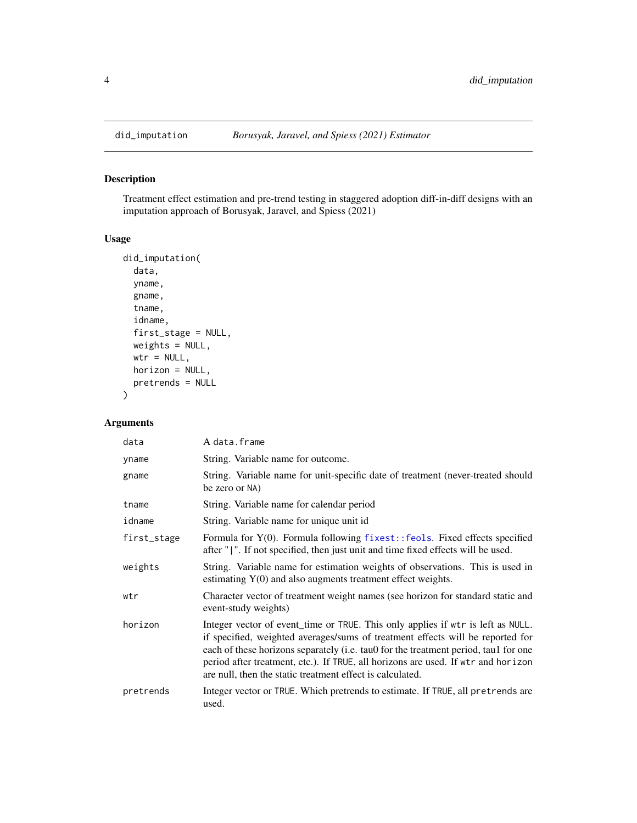# Description

Treatment effect estimation and pre-trend testing in staggered adoption diff-in-diff designs with an imputation approach of Borusyak, Jaravel, and Spiess (2021)

# Usage

```
did_imputation(
  data,
  yname,
  gname,
  tname,
  idname,
  first_stage = NULL,
  weights = NULL,
  wtr = NULL,horizon = NULL,
  pretrends = NULL
\mathcal{L}
```
# Arguments

| data        | A data.frame                                                                                                                                                                                                                                                                                                                                                                                               |
|-------------|------------------------------------------------------------------------------------------------------------------------------------------------------------------------------------------------------------------------------------------------------------------------------------------------------------------------------------------------------------------------------------------------------------|
| yname       | String. Variable name for outcome.                                                                                                                                                                                                                                                                                                                                                                         |
| gname       | String. Variable name for unit-specific date of treatment (never-treated should<br>be zero or NA)                                                                                                                                                                                                                                                                                                          |
| tname       | String. Variable name for calendar period                                                                                                                                                                                                                                                                                                                                                                  |
| idname      | String. Variable name for unique unit id.                                                                                                                                                                                                                                                                                                                                                                  |
| first_stage | Formula for Y(0). Formula following fixest::feols. Fixed effects specified<br>after " ". If not specified, then just unit and time fixed effects will be used.                                                                                                                                                                                                                                             |
| weights     | String. Variable name for estimation weights of observations. This is used in<br>estimating $Y(0)$ and also augments treatment effect weights.                                                                                                                                                                                                                                                             |
| wtr         | Character vector of treatment weight names (see horizon for standard static and<br>event-study weights)                                                                                                                                                                                                                                                                                                    |
| horizon     | Integer vector of event_time or TRUE. This only applies if wtr is left as NULL.<br>if specified, weighted averages/sums of treatment effects will be reported for<br>each of these horizons separately (i.e. tau0 for the treatment period, tau1 for one<br>period after treatment, etc.). If TRUE, all horizons are used. If wtr and horizon<br>are null, then the static treatment effect is calculated. |
| pretrends   | Integer vector or TRUE. Which pretrends to estimate. If TRUE, all pretrends are<br>used.                                                                                                                                                                                                                                                                                                                   |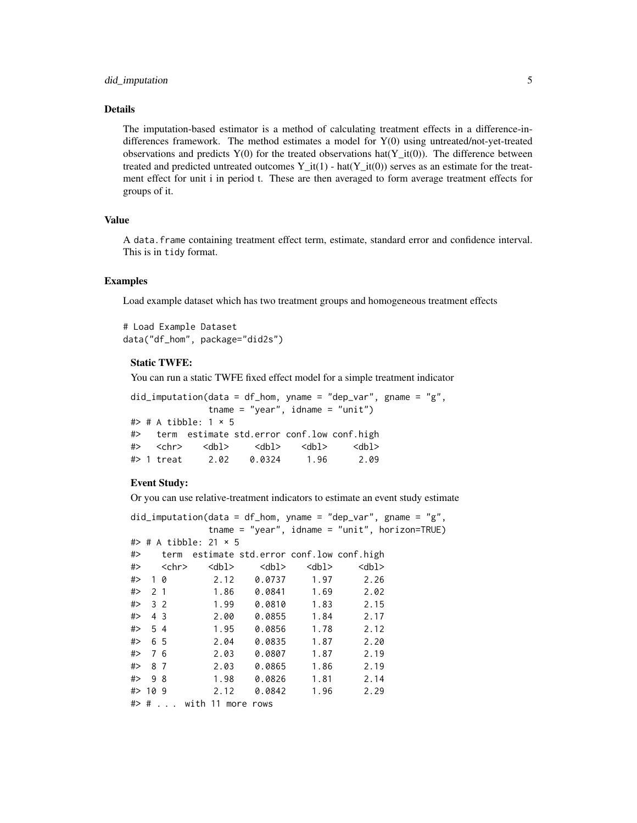#### Details

The imputation-based estimator is a method of calculating treatment effects in a difference-indifferences framework. The method estimates a model for Y(0) using untreated/not-yet-treated observations and predicts  $Y(0)$  for the treated observations hat $(Y_i(t(0))$ . The difference between treated and predicted untreated outcomes  $Y_i$  it(1) - hat( $Y_i$  it(0)) serves as an estimate for the treatment effect for unit i in period t. These are then averaged to form average treatment effects for groups of it.

#### Value

A data.frame containing treatment effect term, estimate, standard error and confidence interval. This is in tidy format.

### Examples

Load example dataset which has two treatment groups and homogeneous treatment effects

# Load Example Dataset data("df\_hom", package="did2s")

### Static TWFE:

You can run a static TWFE fixed effect model for a simple treatment indicator

```
did_imputation(data = df_hom, yname = "dep_var", gname = "g",
             tname = "year", idname = "unit")
#> # A tibble: 1 × 5
#> term estimate std.error conf.low conf.high
#> <chr> <dbl> <dbl> <dbl> <dbl>
#> 1 treat 2.02 0.0324 1.96 2.09
```
#### Event Study:

Or you can use relative-treatment indicators to estimate an event study estimate

```
did_imputation(data = df_hom, yname = "dep_var", gname = "g",
          tname = "year", idname = "unit", horizon=TRUE)
#> # A tibble: 21 × 5
#> term estimate std.error conf.low conf.high
#> <chr> <dbl> <dbl> <dbl> <dbl>
#> 1 0 2.12 0.0737 1.97 2.26
#> 2 1 1.86 0.0841 1.69 2.02
#> 3 2 1.99 0.0810 1.83 2.15
#> 4 3 2.00 0.0855 1.84 2.17
#> 5 4 1.95 0.0856 1.78 2.12
#> 6 5 2.04 0.0835 1.87 2.20
#> 7 6 2.03 0.0807 1.87 2.19
#> 8 7 2.03 0.0865 1.86 2.19
#> 9 8 1.98 0.0826 1.81 2.14
#> 10 9 2.12 0.0842 1.96 2.29
#> # . . . with 11 more rows
```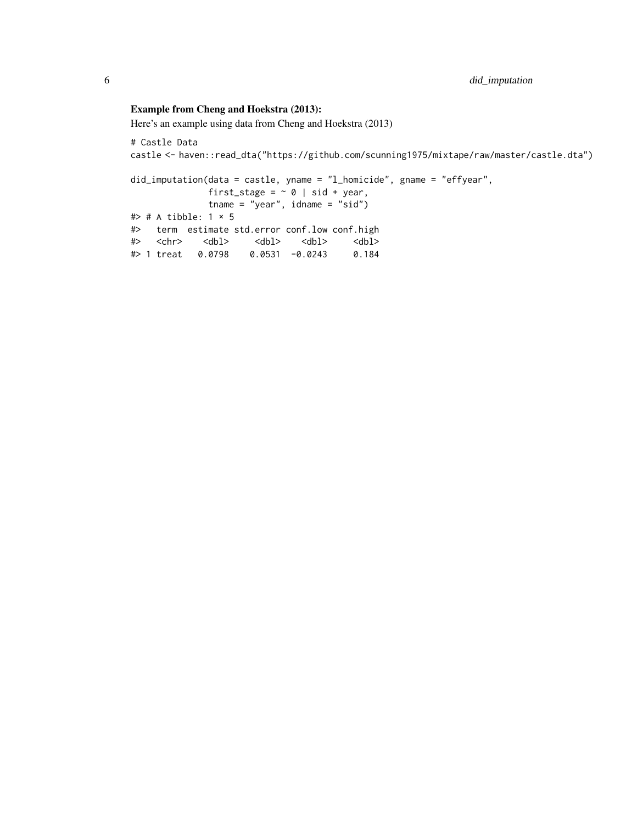# Example from Cheng and Hoekstra (2013):

Here's an example using data from Cheng and Hoekstra (2013)

# Castle Data castle <- haven::read\_dta("https://github.com/scunning1975/mixtape/raw/master/castle.dta") did\_imputation(data = castle, yname = "l\_homicide", gname = "effyear", first\_stage =  $\sim$  0 | sid + year, tname = "year", idname = "sid")  $#$  # A tibble: 1  $\times$  5 #> term estimate std.error conf.low conf.high #> <chr> <dbl> <dbl> <dbl> <dbl> #> 1 treat 0.0798 0.0531 -0.0243 0.184